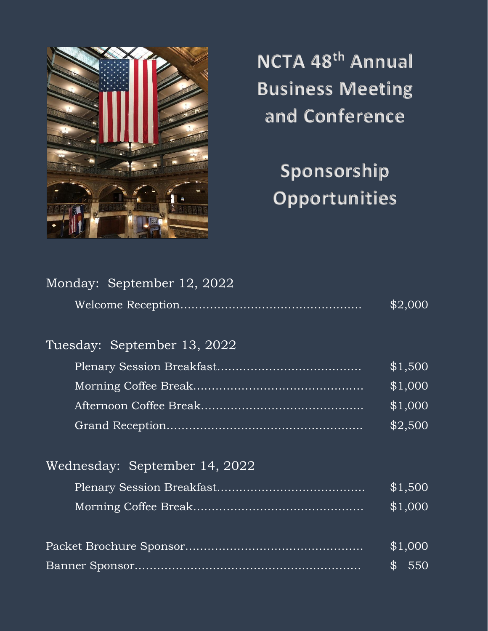

**NCTA 48 th Annual Business Meeting and Conference**

**Sponsorship Opportunities**

| Monday: September 12, 2022    |         |
|-------------------------------|---------|
|                               | \$2,000 |
| Tuesday: September 13, 2022   |         |
|                               | \$1,500 |
|                               | \$1,000 |
|                               | \$1,000 |
|                               | \$2,500 |
| Wednesday: September 14, 2022 |         |
|                               | \$1,500 |
|                               | \$1,000 |
|                               | \$1,000 |
|                               | \$550   |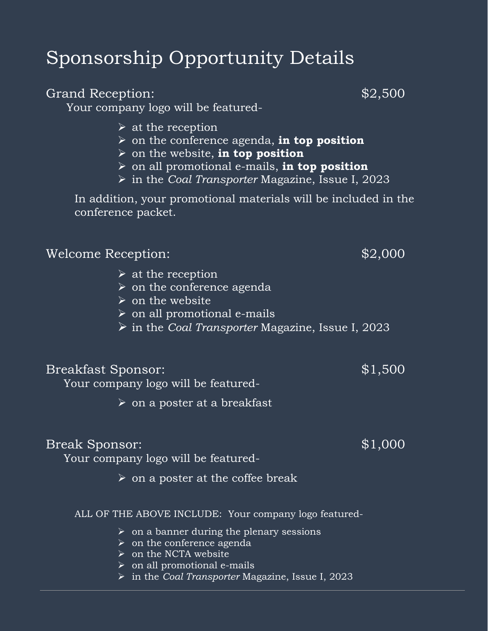# Sponsorship Opportunity Details

# Grand Reception:  $$2,500$

Your company logo will be featured-

- $\triangleright$  at the reception
- ➢ on the conference agenda, **in top position**
- ➢ on the website, **in top position**
- ➢ on all promotional e-mails, **in top position**
- ➢ in the *Coal Transporter* Magazine, Issue I, 2023

In addition, your promotional materials will be included in the conference packet.

|                    | $\triangleright$ on all promotional e-mails                       |         |
|--------------------|-------------------------------------------------------------------|---------|
|                    | $\triangleright$ in the Coal Transporter Magazine, Issue I, 2023, |         |
| Breakfast Sponsor: |                                                                   | \$1,500 |

Your company logo will be featured-

 $\triangleright$  at the reception

 $\triangleright$  on the website

➢ on a poster at a breakfast

➢ on the conference agenda

# Break Sponsor:  $$1,000$

Your company logo will be featured-

 $\triangleright$  on a poster at the coffee break

### ALL OF THE ABOVE INCLUDE: Your company logo featured-

- $\triangleright$  on a banner during the plenary sessions
- $\triangleright$  on the conference agenda
- $\triangleright$  on the NCTA website
- ➢ on all promotional e-mails
- ➢ in the *Coal Transporter* Magazine, Issue I, 2023

Welcome Reception:  $$2,000$